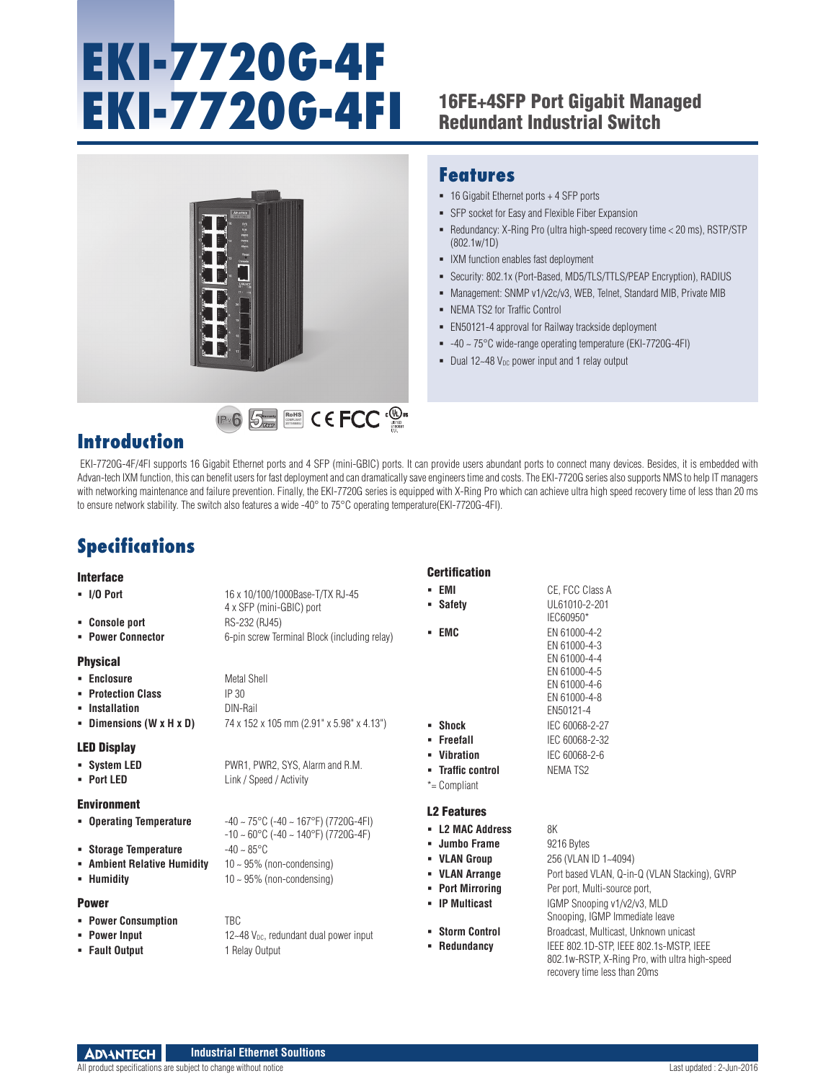# **EKI-7720G-4F EKI-7720G-4FI** 16FE+4SFP Port Gigabit Managed

## Redundant Industrial Switch



RoHS **COMPLIANT** 2011/65/EU

### **Features**

- 16 Gigabit Ethernet ports + 4 SFP ports
- SFP socket for Easy and Flexible Fiber Expansion
- Redundancy: X-Ring Pro (ultra high-speed recovery time < 20 ms), RSTP/STP (802.1w/1D)
- **IXM** function enables fast deployment
- Security: 802.1x (Port-Based, MD5/TLS/TTLS/PEAP Encryption), RADIUS
- Management: SNMP v1/v2c/v3, WEB, Telnet, Standard MIB, Private MIB
- NEMA TS2 for Traffic Control
- EN50121-4 approval for Railway trackside deployment
- -40 ~ 75°C wide-range operating temperature (EKI-7720G-4FI)
- Dual 12~48  $V_{DC}$  power input and 1 relay output

## **Introduction**

 EKI-7720G-4F/4FI supports 16 Gigabit Ethernet ports and 4 SFP (mini-GBIC) ports. It can provide users abundant ports to connect many devices. Besides, it is embedded with Advan-tech IXM function, this can benefit users for fast deployment and can dramatically save engineers time and costs. The EKI-7720G series also supports NMS to help IT managers with networking maintenance and failure prevention. Finally, the EKI-7720G series is equipped with X-Ring Pro which can achieve ultra high speed recovery time of less than 20 ms to ensure network stability. The switch also features a wide -40° to 75°C operating temperature(EKI-7720G-4FI).

Certification

## **Specifications**

#### Interface

| <b>Interface</b>             |                                                                | UGI LIIILALIUII      |                                                |
|------------------------------|----------------------------------------------------------------|----------------------|------------------------------------------------|
| $-1/0$ Port                  | 16 x 10/100/1000Base-T/TX RJ-45                                | - EMI                | CE, FCC Class A                                |
|                              | 4 x SFP (mini-GBIC) port                                       | • Safety             | UL61010-2-201                                  |
| • Console port               | RS-232 (RJ45)                                                  |                      | IEC60950*                                      |
| <b>- Power Connector</b>     | 6-pin screw Terminal Block (including relay)                   | - EMC                | EN 61000-4-2                                   |
|                              |                                                                |                      | EN 61000-4-3                                   |
| <b>Physical</b>              |                                                                |                      | EN 61000-4-4<br>EN 61000-4-5                   |
| • Enclosure                  | Metal Shell                                                    |                      | EN 61000-4-6                                   |
| • Protection Class           | IP <sub>30</sub>                                               |                      | EN 61000-4-8                                   |
| • Installation               | DIN-Rail                                                       |                      | EN50121-4                                      |
| - Dimensions (W $x$ H $x$ D) | 74 x 152 x 105 mm (2.91" x 5.98" x 4.13")                      | $\blacksquare$ Shock | IEC 60068-2-27                                 |
|                              |                                                                | • Freefall           | IEC 60068-2-32                                 |
| <b>LED Display</b>           |                                                                | • Vibration          | IEC 60068-2-6                                  |
| • System LED                 | PWR1, PWR2, SYS, Alarm and R.M.                                | - Traffic control    | NEMA TS2                                       |
| - Port LED                   | Link / Speed / Activity                                        | *= Compliant         |                                                |
| <b>Environment</b>           |                                                                |                      |                                                |
| • Operating Temperature      | $-40 \sim 75^{\circ}$ C (-40 ~ 167°F) (7720G-4FI)              | <b>L2 Features</b>   |                                                |
|                              | $-10 \sim 60^{\circ}$ C ( $-40 \sim 140^{\circ}$ F) (7720G-4F) | - L2 MAC Address     | 8K                                             |
| • Storage Temperature        | $-40 - 85$ °C                                                  | • Jumbo Frame        | 9216 Bytes                                     |
| • Ambient Relative Humidity  | $10 \sim 95\%$ (non-condensing)                                | • VLAN Group         | 256 (VLAN ID 1~4094)                           |
| • Humidity                   | $10 \sim 95\%$ (non-condensing)                                | • VLAN Arrange       | Port based VLAN, Q-in-Q (VLAN Stacking), GVRP  |
|                              |                                                                | • Port Mirrorina     | Per port, Multi-source port,                   |
| <b>Power</b>                 |                                                                | - IP Multicast       | IGMP Snooping v1/v2/v3, MLD                    |
| <b>• Power Consumption</b>   | <b>TBC</b>                                                     |                      | Snooping, IGMP Immediate leave                 |
| • Power Input                | $12-48$ V <sub>pc</sub> , redundant dual power input           | • Storm Control      | Broadcast, Multicast, Unknown unicast          |
| • Fault Output               | 1 Relay Output                                                 | • Redundancy         | IEEE 802.1D-STP. IEEE 802.1s-MSTP. IEEE        |
|                              |                                                                |                      | 802.1w-RSTP, X-Ring Pro, with ultra high-speed |
|                              |                                                                |                      | recovery time less than 20ms                   |

#### **ADVANTECH Industrial Ethernet Soultions**